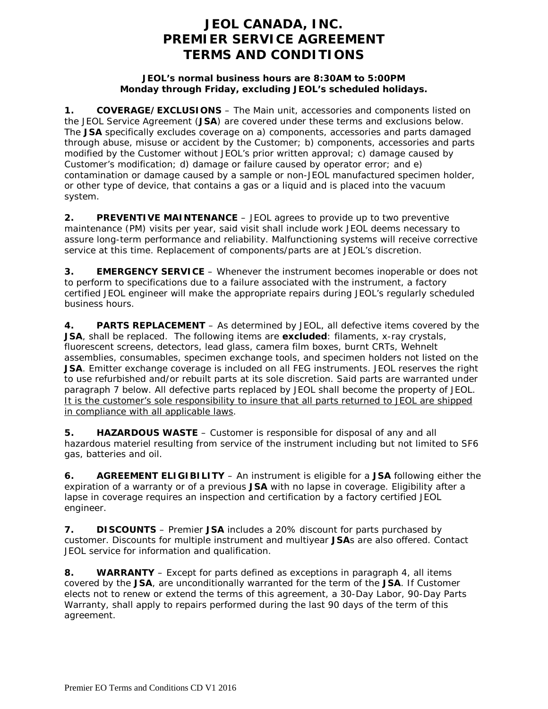# **JEOL CANADA, INC. PREMIER SERVICE AGREEMENT TERMS AND CONDITIONS**

### **JEOL's normal business hours are 8:30AM to 5:00PM Monday through Friday, excluding JEOL's scheduled holidays.**

**1. COVERAGE/EXCLUSIONS** – The Main unit, accessories and components listed on the JEOL Service Agreement (**JSA**) are covered under these terms and exclusions below. The **JSA** specifically excludes coverage on a) components, accessories and parts damaged through abuse, misuse or accident by the Customer; b) components, accessories and parts modified by the Customer without JEOL's prior written approval; c) damage caused by Customer's modification; d) damage or failure caused by operator error; and e) contamination or damage caused by a sample or non-JEOL manufactured specimen holder, or other type of device, that contains a gas or a liquid and is placed into the vacuum system.

**2. PREVENTIVE MAINTENANCE** – JEOL agrees to provide up to two preventive maintenance (PM) visits per year, said visit shall include work JEOL deems necessary to assure long-term performance and reliability. Malfunctioning systems will receive corrective service at this time. Replacement of components/parts are at JEOL's discretion.

**3. EMERGENCY SERVICE** – Whenever the instrument becomes inoperable or does not to perform to specifications due to a failure associated with the instrument, a factory certified JEOL engineer will make the appropriate repairs during JEOL's regularly scheduled business hours.

**4. PARTS REPLACEMENT** – As determined by JEOL, all defective items covered by the **JSA**, shall be replaced. The following items are **excluded**: filaments, x-ray crystals, fluorescent screens, detectors, lead glass, camera film boxes, burnt CRTs, Wehnelt assemblies, consumables, specimen exchange tools, and specimen holders not listed on the **JSA**. Emitter exchange coverage is included on all FEG instruments. JEOL reserves the right to use refurbished and/or rebuilt parts at its sole discretion. Said parts are warranted under paragraph 7 below. All defective parts replaced by JEOL shall become the property of JEOL. It is the customer's sole responsibility to insure that all parts returned to JEOL are shipped in compliance with all applicable laws.

**5. HAZARDOUS WASTE** – Customer is responsible for disposal of any and all hazardous materiel resulting from service of the instrument including but not limited to SF6 gas, batteries and oil.

**6. AGREEMENT ELIGIBILITY** – An instrument is eligible for a **JSA** following either the expiration of a warranty or of a previous **JSA** with no lapse in coverage. Eligibility after a lapse in coverage requires an inspection and certification by a factory certified JEOL engineer.

**7. DISCOUNTS** – Premier **JSA** includes a 20% discount for parts purchased by customer. Discounts for multiple instrument and multiyear **JSA**s are also offered. Contact JEOL service for information and qualification.

**8. WARRANTY** – Except for parts defined as exceptions in paragraph 4, all items covered by the **JSA**, are unconditionally warranted for the term of the **JSA**. If Customer elects not to renew or extend the terms of this agreement, a 30-Day Labor, 90-Day Parts Warranty, shall apply to repairs performed during the last 90 days of the term of this agreement.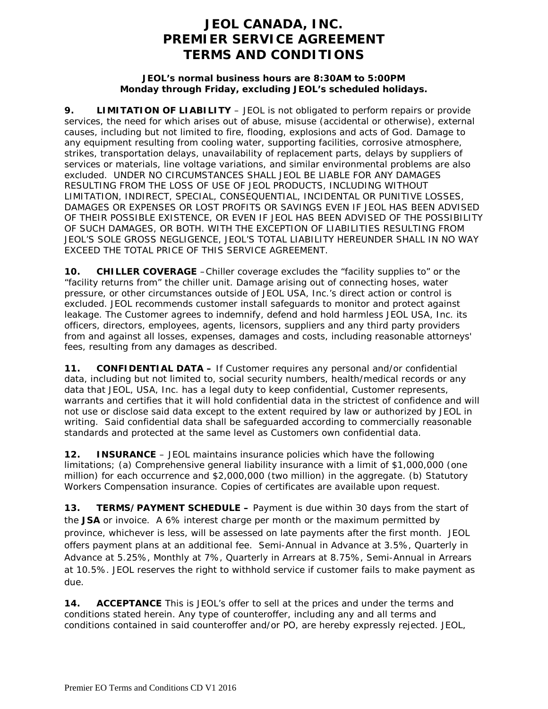# **JEOL CANADA, INC. PREMIER SERVICE AGREEMENT TERMS AND CONDITIONS**

#### **JEOL's normal business hours are 8:30AM to 5:00PM Monday through Friday, excluding JEOL's scheduled holidays.**

**9. LIMITATION OF LIABILITY** – JEOL is not obligated to perform repairs or provide services, the need for which arises out of abuse, misuse (accidental or otherwise), external causes, including but not limited to fire, flooding, explosions and acts of God. Damage to any equipment resulting from cooling water, supporting facilities, corrosive atmosphere, strikes, transportation delays, unavailability of replacement parts, delays by suppliers of services or materials, line voltage variations, and similar environmental problems are also excluded. UNDER NO CIRCUMSTANCES SHALL JEOL BE LIABLE FOR ANY DAMAGES RESULTING FROM THE LOSS OF USE OF JEOL PRODUCTS, INCLUDING WITHOUT LIMITATION, INDIRECT, SPECIAL, CONSEQUENTIAL, INCIDENTAL OR PUNITIVE LOSSES, DAMAGES OR EXPENSES OR LOST PROFITS OR SAVINGS EVEN IF JEOL HAS BEEN ADVISED OF THEIR POSSIBLE EXISTENCE, OR EVEN IF JEOL HAS BEEN ADVISED OF THE POSSIBILITY OF SUCH DAMAGES, OR BOTH. WITH THE EXCEPTION OF LIABILITIES RESULTING FROM JEOL'S SOLE GROSS NEGLIGENCE, JEOL'S TOTAL LIABILITY HEREUNDER SHALL IN NO WAY EXCEED THE TOTAL PRICE OF THIS SERVICE AGREEMENT.

**10. CHILLER COVERAGE** –Chiller coverage excludes the "facility supplies to" or the "facility returns from" the chiller unit. Damage arising out of connecting hoses, water pressure, or other circumstances outside of JEOL USA, Inc.'s direct action or control is excluded. JEOL recommends customer install safeguards to monitor and protect against leakage. The Customer agrees to indemnify, defend and hold harmless JEOL USA, Inc. its officers, directors, employees, agents, licensors, suppliers and any third party providers from and against all losses, expenses, damages and costs, including reasonable attorneys' fees, resulting from any damages as described.

**11. CONFIDENTIAL DATA –** If Customer requires any personal and/or confidential data, including but not limited to, social security numbers, health/medical records or any data that JEOL, USA, Inc. has a legal duty to keep confidential, Customer represents, warrants and certifies that it will hold confidential data in the strictest of confidence and will not use or disclose said data except to the extent required by law or authorized by JEOL in writing. Said confidential data shall be safeguarded according to commercially reasonable standards and protected at the same level as Customers own confidential data.

**12. INSURANCE** – JEOL maintains insurance policies which have the following limitations; (a) Comprehensive general liability insurance with a limit of \$1,000,000 (one million) for each occurrence and \$2,000,000 (two million) in the aggregate. (b) Statutory Workers Compensation insurance. Copies of certificates are available upon request.

**13. TERMS/PAYMENT SCHEDULE –** Payment is due within 30 days from the start of the **JSA** or invoice. A 6% interest charge per month or the maximum permitted by province, whichever is less, will be assessed on late payments after the first month. JEOL offers payment plans at an additional fee. Semi-Annual in Advance at 3.5%, Quarterly in Advance at 5.25%, Monthly at 7%, Quarterly in Arrears at 8.75%, Semi-Annual in Arrears at 10.5%. JEOL reserves the right to withhold service if customer fails to make payment as due.

**14. ACCEPTANCE** This is JEOL's offer to sell at the prices and under the terms and conditions stated herein. Any type of counteroffer, including any and all terms and conditions contained in said counteroffer and/or PO, are hereby expressly rejected. JEOL,